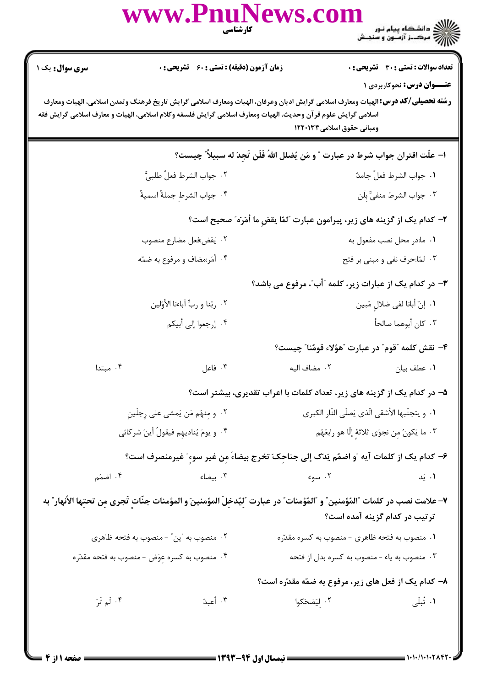|                                                                                                                                                                                                                                                                                                                          | www.PnuNews.com                                      | <b>کارشناسی</b>                                                                      |                                                  |  |
|--------------------------------------------------------------------------------------------------------------------------------------------------------------------------------------------------------------------------------------------------------------------------------------------------------------------------|------------------------------------------------------|--------------------------------------------------------------------------------------|--------------------------------------------------|--|
| <b>سری سوال :</b> یک ۱                                                                                                                                                                                                                                                                                                   | زمان آزمون (دقیقه) : تستی : 60 ٪ تشریحی : 0          |                                                                                      | <b>تعداد سوالات : تستی : 30 ٪ تشریحی : 0</b>     |  |
| <b>عنـــوان درس:</b> نحوکاربردی ۱<br><b>رشته تحصیلی/کد درس:</b> الهیات ومعارف اسلامی گرایش ادیان وعرفان، الهیات ومعارف اسلامی گرایش تاریخ فرهنگ وتمدن اسلامی، الهیات ومعارف<br>اسلامی گرایش علوم قرآن وحدیث، الهیات ومعارف اسلامی گرایش فلسفه وکلام اسلامی، الهیات و معارف اسلامی گرایش فقه<br>ومبانی حقوق اسلامی۱۲۲۰۱۳۳ |                                                      |                                                                                      |                                                  |  |
|                                                                                                                                                                                                                                                                                                                          |                                                      | ا- علَّت اقتران جواب شرط در عبارت " و مَن يُضلل اللهُ فَلَن تَجِدَ له سبيلاً ٌ چيست؟ |                                                  |  |
|                                                                                                                                                                                                                                                                                                                          | ٢. جواب الشرط فعلٌ طلبيٌّ                            |                                                                                      | ٠١. جواب الشرط فعلِّ جامدٌ                       |  |
|                                                                                                                                                                                                                                                                                                                          | ۴. جواب الشرط جملةٌ اسميةٌ                           |                                                                                      | ٠٣ جواب الشرط منفيٌّ بِلَن                       |  |
| ٢- كدام يك از گزينه هاى زير، پيرامون عبارت "لمّا يقضِ ما أمَرَه" صحيح است؟                                                                                                                                                                                                                                               |                                                      |                                                                                      |                                                  |  |
|                                                                                                                                                                                                                                                                                                                          | ٢. يَقض:فعل مضارع منصوب                              |                                                                                      | ۰۱ ما:در محل نصب مفعول به                        |  |
|                                                                                                                                                                                                                                                                                                                          | ۰۴ أمَر:مضاف و مرفوع به ضمّه                         |                                                                                      | ۰۳ لمّا:حرف نفي و مبني بر فتح                    |  |
|                                                                                                                                                                                                                                                                                                                          |                                                      | ۳- در کدام یک از عبارات زیر، کلمه "أب"، مرفوع می باشد؟                               |                                                  |  |
|                                                                                                                                                                                                                                                                                                                          | ٢. ربّنا و ربٌّ أباءنا الأوّلين                      |                                                                                      | ٠١. إنّ أبانا لفي ضلالٍ مُبين                    |  |
|                                                                                                                                                                                                                                                                                                                          | ۰۴ إرجعوا إلى أبيكم                                  |                                                                                      | ٠٣ كان أبوهما صالحاً                             |  |
|                                                                                                                                                                                                                                                                                                                          |                                                      |                                                                                      | ۴- نقش كلمه "قوم" در عبارت "هؤلاء قومُنا" چيست؟  |  |
| ۰۴ مبتدا                                                                                                                                                                                                                                                                                                                 | ا فاعل $\mathcal{S}$ . $\mathcal{S}$                 |                                                                                      |                                                  |  |
|                                                                                                                                                                                                                                                                                                                          |                                                      | ۵– در کدام یک از گزینه های زیر، تعداد کلمات با اعراب تقدیری، بیشتر است؟              |                                                  |  |
|                                                                                                                                                                                                                                                                                                                          | ۰۲ و مِنهُم مَن يَمشى على رِجلَينِ                   |                                                                                      | ٠١. و يتجنّبها الأشقى الّذى يَصلَى النّار الكبرى |  |
| ۴. و يومَ يُناديهِم فيقولُ أينَ شركائي                                                                                                                                                                                                                                                                                   |                                                      |                                                                                      | ٠٣ ما يَكونُ مِن نجوَى ثلاثةٍ إلّا هو رابعُهُم   |  |
| ۶– كدام يك از كلمات آيه "و اضمُم يَدَك إلى جناحِكَ تخرج بيضاءَ مِن غير سوءٍ" غيرمنصرف است؟                                                                                                                                                                                                                               |                                                      |                                                                                      |                                                  |  |
| ۰۴ اضمُم                                                                                                                                                                                                                                                                                                                 | ۰۳ بیضاء                                             | ۰۲ سوء                                                                               | ۰۱ یَد                                           |  |
| ٧– علامت نصب در كلمات "المُؤمنين" و "المُؤمنات" در عبارت "لِيُدخِلَ المؤمنينَ و المؤمنات جنّاتٍ تَجرى مِن تحتِها الأنهار" به<br>ترتیب در کدام گزینه آمده است؟                                                                                                                                                            |                                                      |                                                                                      |                                                  |  |
|                                                                                                                                                                                                                                                                                                                          | ۰۲ منصوب به "ین" - منصوب به فتحه ظاهری               |                                                                                      | ۰۱ منصوب به فتحه ظاهری – منصوب به کسره مقدّره    |  |
|                                                                                                                                                                                                                                                                                                                          | ۰۴ منصوب به کسره عِوَض - منصوب به فتحه مقدّره        |                                                                                      | ۰۳ منصوب به یاء – منصوب به کسره بدل از فتحه      |  |
|                                                                                                                                                                                                                                                                                                                          | ۸– کدام یک از فعل های زیر، مرفوع به ضمّه مقدّره است؟ |                                                                                      |                                                  |  |
| ۰۴ لَم تَرَ                                                                                                                                                                                                                                                                                                              | ۰۳ أعبدُ                                             | ۰۲ لِيَضحَكوا                                                                        | ۰۱ تُبلَى                                        |  |
|                                                                                                                                                                                                                                                                                                                          |                                                      |                                                                                      |                                                  |  |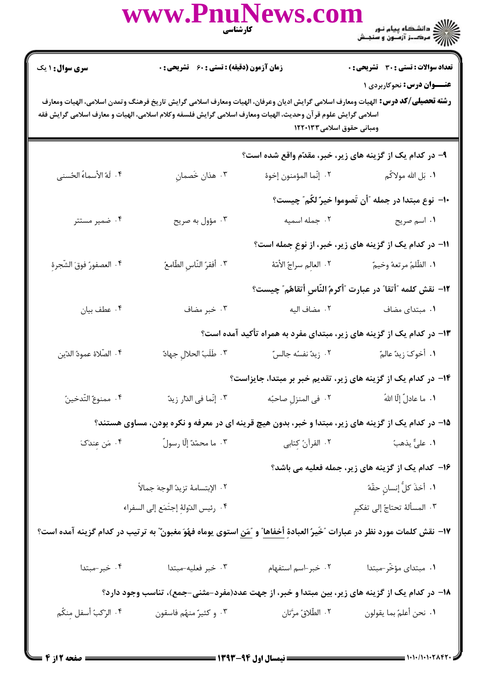|                                                                                                                                                                                                                                                                                                                          | www.PnuNews.com                                                                                                                             | <b>کار شناسی</b><br>مسینی | ))))))) دانشگاه پیام نور<br>)))))) – مرکــز آزمــون و سنجـش           |  |  |
|--------------------------------------------------------------------------------------------------------------------------------------------------------------------------------------------------------------------------------------------------------------------------------------------------------------------------|---------------------------------------------------------------------------------------------------------------------------------------------|---------------------------|-----------------------------------------------------------------------|--|--|
| <b>سری سوال : ۱ یک</b>                                                                                                                                                                                                                                                                                                   | زمان آزمون (دقیقه) : تستی : 60 ٪ تشریحی : 0                                                                                                 |                           | <b>تعداد سوالات : تستی : 30 - تشریحی : 0</b>                          |  |  |
| <b>عنـــوان درس:</b> نحوکاربردی ۱<br><b>رشته تحصیلی/کد درس:</b> الهیات ومعارف اسلامی گرایش ادیان وعرفان، الهیات ومعارف اسلامی گرایش تاریخ فرهنگ وتمدن اسلامی، الهیات ومعارف<br>اسلامی گرایش علوم قرآن وحدیث، الهیات ومعارف اسلامی گرایش فلسفه وکلام اسلامی، الهیات و معارف اسلامی گرایش فقه<br>ومبانی حقوق اسلامی۱۲۲۰۱۳۳ |                                                                                                                                             |                           |                                                                       |  |  |
|                                                                                                                                                                                                                                                                                                                          |                                                                                                                                             |                           | ۹- در کدام یک از گزینه های زیر، خبر، مقدّم واقع شده است؟              |  |  |
| ۴. لَهُ الأسماءُ الحُسنى                                                                                                                                                                                                                                                                                                 | ۰۳ هذان خَصمانِ                                                                                                                             | ٢. إنّما المؤمنون إخوهٔ   | ۰۱ بَل الله مولاكُم                                                   |  |  |
|                                                                                                                                                                                                                                                                                                                          |                                                                                                                                             |                           | ∙ا− نوع مبتدا در جمله ″أن تَصوموا خيرٌ لكُم″ چيست؟                    |  |  |
| ۰۴ ضمیر مستتر                                                                                                                                                                                                                                                                                                            | ۰۳ مؤول به صریح                                                                                                                             | ۲. جمله اسمیه             | ١. اسم صريح                                                           |  |  |
|                                                                                                                                                                                                                                                                                                                          |                                                                                                                                             |                           | 1۱- در کدام یک از گزینه های زیر، خبر، از نوعِ جمله است؟               |  |  |
| ۴. العصفورُ فوقَ الشَّجرِهِ                                                                                                                                                                                                                                                                                              | ٠٣ أفقرُ النّاسِ الطّامعُ                                                                                                                   |                           | ١. الظّلمُ مرتعهُ وخيمٌ ۖ مستقط بالعالِم سراجُ الأمّة                 |  |  |
|                                                                                                                                                                                                                                                                                                                          |                                                                                                                                             |                           | ١٢- نقش كلمه "أتقا" در عبارت "أكرمُ النّاسِ أتقاهُم" چيست؟            |  |  |
| ۰۴ عطف بيان                                                                                                                                                                                                                                                                                                              | ۰۳ خبر مضاف                                                                                                                                 | ۰۲ مضاف اليه              | ۰۱ مبتدای مضاف                                                        |  |  |
|                                                                                                                                                                                                                                                                                                                          |                                                                                                                                             |                           | ۱۳- در کدام یک از گزینه های زیر، مبتدای مفرد به همراه تأکید آمده است؟ |  |  |
| ۴. الصّلاهٔ عمودُ الدّين                                                                                                                                                                                                                                                                                                 | ٣. طَلَبُ الحلال جهادٌ                                                                                                                      | ۰۲ زیدٌ نفسُه جالسٌ       | ١. أخوكَ زيدٌ عالمٌ                                                   |  |  |
|                                                                                                                                                                                                                                                                                                                          |                                                                                                                                             |                           | ۱۴– در کدام یک از گزینه های زیر، تقدیم خبر بر مبتدا، جایزاست؟         |  |  |
| ۰۴ ممنوعٌ التّدخينُ                                                                                                                                                                                                                                                                                                      | ٠٣ إنّما في الدّار زيدٌ                                                                                                                     |                           |                                                                       |  |  |
| ۱۵– در کدام یک از گزینه های زیر، مبتدا و خبر، بدون هیچ قرینه ای در معرفه و نکره بودن، مساوی هستند؟                                                                                                                                                                                                                       |                                                                                                                                             |                           |                                                                       |  |  |
| ۰۴ مَن عِندَکَ                                                                                                                                                                                                                                                                                                           | ٠٣ ما محمّدٌ إلّا رسولٌ                                                                                                                     |                           |                                                                       |  |  |
|                                                                                                                                                                                                                                                                                                                          |                                                                                                                                             |                           | ۱۶- کدام یک از گزینه های زیر، جمله فعلیه می باشد؟                     |  |  |
|                                                                                                                                                                                                                                                                                                                          | ٢. الإبتسامهٔ تزيدُ الوجهَ جمالاً                                                                                                           |                           | <b>١.</b> أخذَ كلُّ إنسانٍ حقّهُ                                      |  |  |
|                                                                                                                                                                                                                                                                                                                          | ۴. رئيس الدّولهِٔ إجتَمَع إلى السفراء                                                                                                       |                           | ٢. المسألة تحتاجُ إلى تفكيرٍ                                          |  |  |
|                                                                                                                                                                                                                                                                                                                          | ۱۷− نقش کلمات مورد نظر در عبارات ″خَیرُ العبادهِٔ <u>أخفاها</u> ″ و <u>″مَن</u> استوی یوماه فهُوَ مغبون ٌ" به ترتیب در کدام گزینه آمده است؟ |                           |                                                                       |  |  |
| ۰۴ خبر-مبتدا                                                                                                                                                                                                                                                                                                             | ۰۳ خبر فعليه-مبتدا                                                                                                                          | ٠٢ خبر اسم استفهام        | ۰۱ مبتدای مؤخّر-مبتدا                                                 |  |  |
| ۱۸– در کدام یک از گزینه های زیر، بین مبتدا و خبر، از جهت عدد(مفرد-مثنی-جمع)، تناسب وجود دارد؟                                                                                                                                                                                                                            |                                                                                                                                             |                           |                                                                       |  |  |
| ۴. الرّكبُ أسفل مِنكُم                                                                                                                                                                                                                                                                                                   | ۰۳ و کثیرٌ منهُم فاسقون                                                                                                                     | ٠٢ الطّلاقُ مرَّتان       | ٠١ نحن أعلمُ بما يقولون                                               |  |  |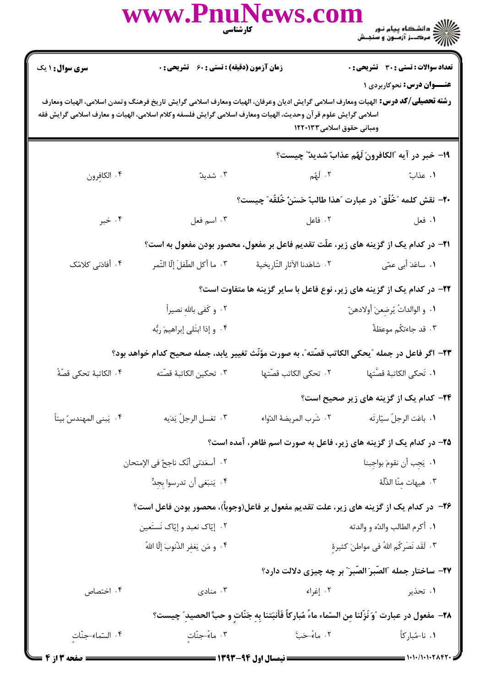www.Pnul )<br>)))))) دانشڪاه پيام نور<br>))))) **تعداد سوالات : تستي : 30 ٪ تشريحي : 0 سری سوال : ۱ یک زمان آزمون (دقیقه) : تستی : 60 گشریحی: 0 عنــوان درس: نحوکاربردی ۱ رشته تحصيلي/كد درس:** الهيات ومعارف اسلامي گرايش اديان وعرفان، الهيات ومعارف اسلامي گرايش تاريخ فرهنگ وتمدن اسلامي، الهيات ومعارف اسلامی گرایش علوم قرآن وحدیث، الهیات ومعارف اسلامی گرایش فلسفه وکلام اسلامی، الهیات و معارف اسلامی گرایش فقه ومباني حقوق اسلامي ١٢٢٠١٣٣ 19- خبر در آيه "الكافرونَ لَهُم عذابٌ شديدٌ" چيست؟ ۰۴ الكافرون ۰۲ لَمُم ۰۳ شدیدً ٠١. عذاتٌ +٢- نقش كلمه "خُلُق" در عبارت "هذا طالبٌ حَسَنٌ خُلقُه" چيست؟ ۰۲ فاعل ۰۴ خبر ۰۳ اسم فعل ۰۱ فعل **۲۱**- در کدام یک از گزینه های زیر، علّت تقدیم فاعل بر مفعول، محصور بودن مفعول به است؟ ۴. أفادتي كلامُک ٣. ما أكل الطَّفلَ إِلَّا التَّمر ٢. شاهَدنا الآثار التّار يخيهٔ ۰۱ ساعَدَ أب*ي* عمّي ٢٢- در كدام يک از گزينه هاي زير، نوع فاعل با ساير گزينه ها متفاوت است؟ ٢. و كَفي بِالله نصيراً ٠١. و الوالداتُ يُرضعنَ أولادهنّ ۰۴ و إذا ابتَلى إبراهيمَ ربُّه ۴. قد جاءتكُم موعظةٌ ٢٣- اگر فاعل در جمله "يحكي الكاتب قصَّته"، به صورت مؤنَّث تغيير يابد، جمله صحيح كدام خواهد بود؟ ۴. تحكين الكاتبهٔ قصّته ٢. تحكى الكاتب قصّتها ۰۴ الكاتبهٔ تحكي قصّهٔ*ً* ٠١. تَحكى الكاتبهٔ قصَّتها **۲۴**- کدام یک از گزینه های زیر صحیح است؟ ٢. تغسل الرجلُ يَدَيه ٢. شَرب المريضة الدّواء ۰۴ يَبنى المهندسُ بيتاً ٠١. باعَت الرجلُ سيّارتَه ۲۵- در کدام یک از گزینه های زیر، فاعل به صورت اسم ظاهر، آمده است؟ ٢. أسعَدَني أنَّك ناجحٌ في الإمتحان ٠١. يَجب أن نقومَ بواجبنا ۰۴ يَنبَغي أن تدرسوا بجدٍّ ٠٣ هيهات منّا الذّلّة ۲۶– در کدام یک از گزینه های زیر، علت تقدیم مفعول بر فاعل(وجوباً)، محصور بودن فاعل است؟ ۰۲ إيّاک نعبد و إيّاک نَستَعين ٠١. أكرم الطالب والدُه و والدته ۰۳ لَقَد نَصَرِكُم اللهُ في مواطنَ كثيرة ۴ . و مَن يَغفر الذّنوبَ إلّا اللهُ ٢٧- ساختار جمله "الصّبرَ الصّبرَ" بر چه چیزی دلالت دارد؟ ۰۳ منادی ۰۴ اختصاص ٢. إغراء ۱. تحذیر ٢٨- مفعول در عبارت "وَ نَزَّلنا من السّماء ماءً مُباركاً فَأنبَتنا به جَنّات و حبَّ الحصيد" چيست؟ ٢. ماءً–حَتَّ ۴. السّماء-جنّات ۰۳ ماءً–جنّات ۰۱ نا-مُباركاً